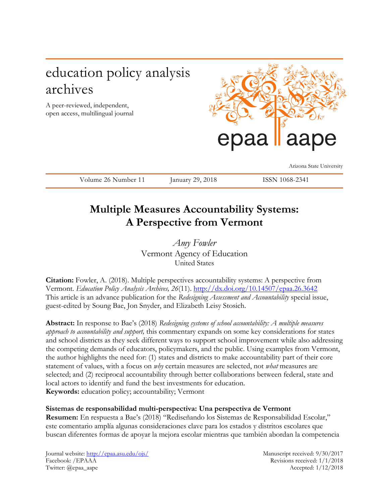# education policy analysis archives

A peer-reviewed, independent, open access, multilingual journal



Arizona State University

Volume 26 Number 11 January 29, 2018 ISSN 1068-2341

# **Multiple Measures Accountability Systems: A Perspective from Vermont**

*Amy Fowler* Vermont Agency of Education United States

**Citation:** Fowler, A. (2018). Multiple perspectives accountability systems: A perspective from Vermont. *Education Policy Analysis Archives, 26*(11).<http://dx.doi.org/10.14507/epaa.26.3642> This article is an advance publication for the *Redesigning Assessment and Accountability* special issue, guest-edited by Soung Bae, Jon Snyder, and Elizabeth Leisy Stosich.

**Abstract:** In response to Bae's (2018) *Redesigning systems of school accountability: A multiple measures approach to accountability and support,* this commentary expands on some key considerations for states and school districts as they seek different ways to support school improvement while also addressing the competing demands of educators, policymakers, and the public. Using examples from Vermont, the author highlights the need for: (1) states and districts to make accountability part of their core statement of values, with a focus on *why* certain measures are selected, not *what* measures are selected; and (2) reciprocal accountability through better collaborations between federal, state and local actors to identify and fund the best investments for education. **Keywords:** education policy; accountability; Vermont

## **Sistemas de responsabilidad multi-perspectiva: Una perspectiva de Vermont**

**Resumen:** En respuesta a Bae's (2018) "Rediseñando los Sistemas de Responsabilidad Escolar," este comentario amplía algunas consideraciones clave para los estados y distritos escolares que buscan diferentes formas de apoyar la mejora escolar mientras que también abordan la competencia

Journal website:<http://epaa.asu.edu/ojs/> Manuscript received: 9/30/2017 Facebook: /EPAAA Revisions received: 1/1/2018 Twitter: @epaa\_aape Accepted: 1/12/2018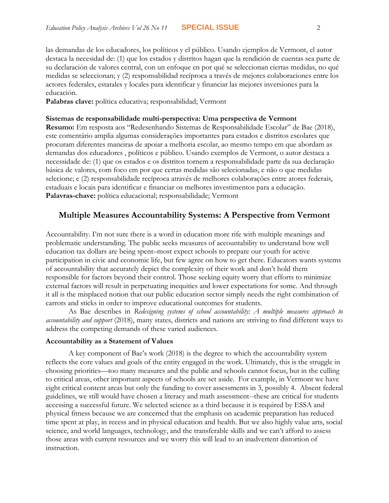las demandas de los educadores, los políticos y el público. Usando ejemplos de Vermont, el autor destaca la necesidad de: (1) que los estados y distritos hagan que la rendición de cuentas sea parte de su declaración de valores central, con un enfoque en por qué se seleccionan ciertas medidas, no qué medidas se seleccionan; y (2) responsabilidad recíproca a través de mejores colaboraciones entre los actores federales, estatales y locales para identificar y financiar las mejores inversiones para la educación.

**Palabras clave:** política educativa; responsabilidad; Vermont

#### **Sistemas de responsabilidade multi-perspectiva: Uma perspectiva de Vermont**

**Resumo:** Em resposta aos "Redesenhando Sistemas de Responsabilidade Escolar" de Bae (2018), este comentário amplia algumas considerações importantes para estados e distritos escolares que procuram diferentes maneiras de apoiar a melhoria escolar, ao mesmo tempo em que abordam as demandas dos educadores , políticos e público. Usando exemplos de Vermont, o autor destaca a necessidade de: (1) que os estados e os distritos tornem a responsabilidade parte da sua declaração básica de valores, com foco em por que certas medidas são selecionadas, e não o que medidas selecione; e (2) responsabilidade recíproca através de melhores colaborações entre atores federais, estaduais e locais para identificar e financiar os melhores investimentos para a educação. **Palavras-chave:** política educacional; responsabilidade; Vermont

## **Multiple Measures Accountability Systems: A Perspective from Vermont**

Accountability. I'm not sure there is a word in education more rife with multiple meanings and problematic understanding. The public seeks measures of accountability to understand how well education tax dollars are being spent–most expect schools to prepare our youth for active participation in civic and economic life, but few agree on how to get there. Educators wants systems of accountability that accurately depict the complexity of their work and don't hold them responsible for factors beyond their control. Those seeking equity worry that efforts to minimize external factors will result in perpetuating inequities and lower expectations for some. And through it all is the misplaced notion that our public education sector simply needs the right combination of carrots and sticks in order to improve educational outcomes for students.

As Bae describes in *Redesigning systems of school accountability: A multiple measures approach to accountability and support* (2018), many states, districts and nations are striving to find different ways to address the competing demands of these varied audiences.

#### **Accountability as a Statement of Values**

A key component of Bae's work (2018) is the degree to which the accountability system reflects the core values and goals of the entity engaged in the work. Ultimately, this is the struggle in choosing priorities—too many measures and the public and schools cannot focus, but in the culling to critical areas, other important aspects of schools are set aside. For example, in Vermont we have eight critical content areas but only the funding to cover assessments in 3, possibly 4. Absent federal guidelines, we still would have chosen a literacy and math assessment--these are critical for students accessing a successful future. We selected science as a third because it is required by ESSA and physical fitness because we are concerned that the emphasis on academic preparation has reduced time spent at play, in recess and in physical education and health. But we also highly value arts, social science, and world languages, technology, and the transferable skills and we can't afford to assess those areas with current resources and we worry this will lead to an inadvertent distortion of instruction.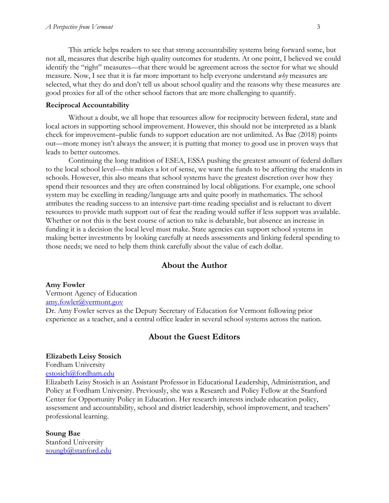This article helps readers to see that strong accountability systems bring forward some, but not all, measures that describe high quality outcomes for students. At one point, I believed we could identify the "right" measures—that there would be agreement across the sector for what we should measure. Now, I see that it is far more important to help everyone understand *why* measures are selected, what they do and don't tell us about school quality and the reasons why these measures are good proxies for all of the other school factors that are more challenging to quantify.

#### **Reciprocal Accountability**

Without a doubt, we all hope that resources allow for reciprocity between federal, state and local actors in supporting school improvement. However, this should not be interpreted as a blank check for improvement–public funds to support education are not unlimited. As Bae (2018) points out—more money isn't always the answer; it is putting that money to good use in proven ways that leads to better outcomes.

Continuing the long tradition of ESEA, ESSA pushing the greatest amount of federal dollars to the local school level—this makes a lot of sense, we want the funds to be affecting the students in schools. However, this also means that school systems have the greatest discretion over how they spend their resources and they are often constrained by local obligations. For example, one school system may be excelling in reading/language arts and quite poorly in mathematics. The school attributes the reading success to an intensive part-time reading specialist and is reluctant to divert resources to provide math support out of fear the reading would suffer if less support was available. Whether or not this is the best course of action to take is debatable, but absence an increase in funding it is a decision the local level must make. State agencies can support school systems in making better investments by looking carefully at needs assessments and linking federal spending to those needs; we need to help them think carefully about the value of each dollar.

### **About the Author**

#### **Amy Fowler**

Vermont Agency of Education [amy.fowler@vermont.gov](mailto:amy.fowler@vermont.gov) Dr. Amy Fowler serves as the Deputy Secretary of Education for Vermont following prior experience as a teacher, and a central office leader in several school systems across the nation.

### **About the Guest Editors**

#### **Elizabeth Leisy Stosich**

### Fordham University

[estosich@fordham.edu](mailto:estosich@fordham.edu)

Elizabeth Leisy Stosich is an Assistant Professor in Educational Leadership, Administration, and Policy at Fordham University. Previously, she was a Research and Policy Fellow at the Stanford Center for Opportunity Policy in Education. Her research interests include education policy, assessment and accountability, school and district leadership, school improvement, and teachers' professional learning.

**Soung Bae** Stanford University [soungb@stanford.edu](mailto:soungb@stanford.edu)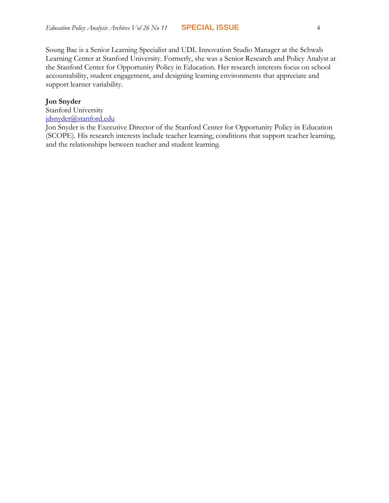Soung Bae is a Senior Learning Specialist and UDL Innovation Studio Manager at the Schwab Learning Center at Stanford University. Formerly, she was a Senior Research and Policy Analyst at the Stanford Center for Opportunity Policy in Education. Her research interests focus on school accountability, student engagement, and designing learning environments that appreciate and support learner variability.

#### **Jon Snyder**

Stanford University [jdsnyder@stanford.edu](mailto:jdsnyder@stanford.edu)

Jon Snyder is the Executive Director of the Stanford Center for Opportunity Policy in Education (SCOPE). His research interests include teacher learning, conditions that support teacher learning, and the relationships between teacher and student learning.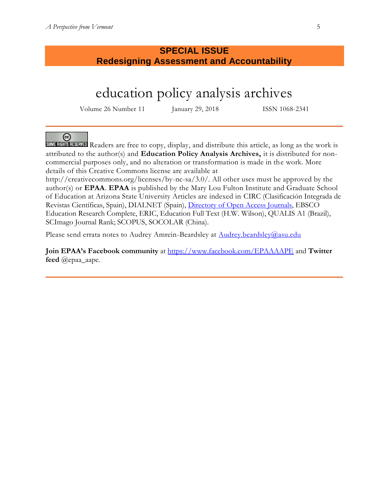# **SPECIAL ISSUE Redesigning Assessment and Accountability**

# education policy analysis archives

Volume 26 Number 11 January 29, 2018 ISSN 1068-2341

☺ SOME RIGHTS RESERVED Readers are free to copy, display, and distribute this article, as long as the work is attributed to the author(s) and **Education Policy Analysis Archives,** it is distributed for noncommercial purposes only, and no alteration or transformation is made in the work. More details of this Creative Commons license are available at

http://creativecommons.org/licenses/by-nc-sa/3.0/. All other uses must be approved by the author(s) or **EPAA**. **EPAA** is published by the Mary Lou Fulton Institute and Graduate School of Education at Arizona State University Articles are indexed in CIRC (Clasificación Integrada de Revistas Científicas, Spain), DIALNET (Spain), [Directory of Open Access Journals,](http://www.doaj.org/) EBSCO Education Research Complete, ERIC, Education Full Text (H.W. Wilson), QUALIS A1 (Brazil), SCImago Journal Rank; SCOPUS, SOCOLAR (China).

Please send errata notes to Audrey Amrein-Beardsley at [Audrey.beardsley@asu.edu](mailto:Audrey.beardsley@asu.edu) 

**Join EPAA's Facebook community** at<https://www.facebook.com/EPAAAAPE> and **Twitter feed** @epaa\_aape.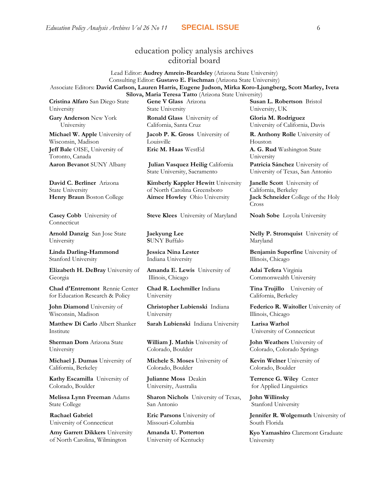# education policy analysis archives editorial board

Lead Editor: **Audrey Amrein-Beardsley** (Arizona State University) Consulting Editor: **Gustavo E. Fischman** (Arizona State University) Associate Editors: **David Carlson, Lauren Harris, Eugene Judson, Mirka Koro-Ljungberg, Scott Marley, Iveta Silova, Maria Teresa Tatto** (Arizona State University)

**Cristina Alfaro** San Diego State University

**Gary Anderson** New York University

**Michael W. Apple** University of Wisconsin, Madison **Jeff Bale** OISE, University of Toronto, Canada **Aaron Bevanot** SUNY Albany **Julian Vasquez Heilig** California

**David C. Berliner** Arizona State University

**Casey Cobb** University of Connecticut

**Arnold Danzig** San Jose State University

**Linda Darling-Hammond**  Stanford University

**Elizabeth H. DeBray** University of Georgia

**Chad d'Entremont** Rennie Center for Education Research & Policy

**John Diamond** University of Wisconsin, Madison

**Matthew Di Carlo** Albert Shanker Institute

**Sherman Dorn** Arizona State University

**Michael J. Dumas** University of California, Berkeley

**Kathy Escamilla** University of Colorado, Boulder

**Melissa Lynn Freeman** Adams State College

**Rachael Gabriel** University of Connecticut

**Amy Garrett Dikkers** University of North Carolina, Wilmington

**Gene V Glass** Arizona State University

**Ronald Glass** University of California, Santa Cruz

**Jacob P. K. Gross** University of Louisville **Eric M. Haas** WestEd **A. G. Rud** Washington State

State University, Sacramento

**Kimberly Kappler Hewitt** University of North Carolina Greensboro **Henry Braun** Boston College **Aimee Howley** Ohio University **Jack Schneider** College of the Holy

**Steve Klees** University of Maryland **Noah Sobe** Loyola University

**Jaekyung Lee S**UNY Buffalo

**Jessica Nina Lester** Indiana University

**Amanda E. Lewis** University of Illinois, Chicago

**Chad R. Lochmiller** Indiana University

**Christopher Lubienski** Indiana University

**Sarah Lubienski** Indiana University **Larisa Warhol**

**William J. Mathis** University of Colorado, Boulder

**Michele S. Moses** University of Colorado, Boulder

**Julianne Moss** Deakin University, Australia

**Sharon Nichols** University of Texas, San Antonio

**Eric Parsons** University of Missouri-Columbia

**Amanda U. Potterton** University of Kentucky

**Susan L. Robertson** Bristol University, UK **Gloria M. Rodriguez**

University of California, Davis

**R. Anthony Rolle** University of Houston

University

**Patricia Sánchez** University of University of Texas, San Antonio

**Janelle Scott** University of California, Berkeley Cross

**Nelly P. Stromquist** University of Maryland

**Benjamin Superfine** University of Illinois, Chicago

**Adai Tefera** Virginia Commonwealth University

**Tina Trujillo** University of California, Berkeley

**Federico R. Waitoller** University of Illinois, Chicago

University of Connecticut

**John Weathers** University of Colorado, Colorado Springs

**Kevin Welner** University of Colorado, Boulder

**Terrence G. Wiley** Center for Applied Linguistics

**John Willinsky**  Stanford University

**Jennifer R. Wolgemuth University of** South Florida

**Kyo Yamashiro** Claremont Graduate University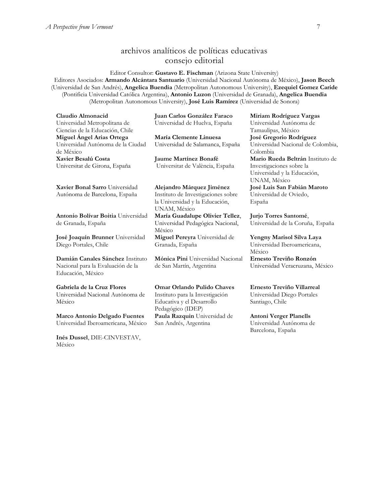# archivos analíticos de políticas educativas consejo editorial

Editor Consultor: **Gustavo E. Fischman** (Arizona State University) Editores Asociados: **Armando Alcántara Santuario** (Universidad Nacional Autónoma de México), **Jason Beech** (Universidad de San Andrés), **Angelica Buendia** (Metropolitan Autonomous University), **Ezequiel Gomez Caride** (Pontificia Universidad Católica Argentina), **Antonio Luzon** (Universidad de Granada), **Angelica Buendia** (Metropolitan Autonomous University), **José Luis Ramírez** (Universidad de Sonora)

| Claudio Almonacid<br>Universidad Metropolitana de                                                 | Juan Carlos González Faraco<br>Universidad de Huelva, España                                                           | Miriam Rodríguez Vargas<br>Universidad Autónoma de                                                          |
|---------------------------------------------------------------------------------------------------|------------------------------------------------------------------------------------------------------------------------|-------------------------------------------------------------------------------------------------------------|
| Ciencias de la Educación, Chile<br>Miguel Angel Arias Ortega<br>Universidad Autónoma de la Ciudad | María Clemente Linuesa<br>Universidad de Salamanca, España                                                             | Tamaulipas, México<br>José Gregorio Rodríguez<br>Universidad Nacional de Colombia,                          |
| de México<br>Xavier Besalú Costa                                                                  |                                                                                                                        | Colombia                                                                                                    |
| Universitat de Girona, España                                                                     | <b>Jaume Martínez Bonafé</b><br>Universitat de València, España                                                        | Mario Rueda Beltrán Instituto de<br>Investigaciones sobre la<br>Universidad y la Educación,<br>UNAM, México |
| Xavier Bonal Sarro Universidad<br>Autónoma de Barcelona, España                                   | Alejandro Márquez Jiménez<br>Instituto de Investigaciones sobre<br>la Universidad y la Educación,                      | José Luis San Fabián Maroto<br>Universidad de Oviedo,<br>España                                             |
|                                                                                                   | UNAM, México                                                                                                           |                                                                                                             |
| Antonio Bolívar Boitia Universidad<br>de Granada, España                                          | María Guadalupe Olivier Tellez,<br>Universidad Pedagógica Nacional,<br>México                                          | Jurjo Torres Santomé,<br>Universidad de la Coruña, España                                                   |
| José Joaquín Brunner Universidad<br>Diego Portales, Chile                                         | Miguel Pereyra Universidad de<br>Granada, España                                                                       | Yengny Marisol Silva Laya<br>Universidad Iberoamericana,<br>México                                          |
| Damián Canales Sánchez Instituto<br>Nacional para la Evaluación de la<br>Educación, México        | Mónica Pini Universidad Nacional<br>de San Martín, Argentina                                                           | Ernesto Treviño Ronzón<br>Universidad Veracruzana, México                                                   |
| Gabriela de la Cruz Flores<br>Universidad Nacional Autónoma de<br>México                          | <b>Omar Orlando Pulido Chaves</b><br>Instituto para la Investigación<br>Educativa y el Desarrollo<br>Pedagógico (IDEP) | Ernesto Treviño Villarreal<br>Universidad Diego Portales<br>Santiago, Chile                                 |
| <b>Marco Antonio Delgado Fuentes</b>                                                              | Paula Razquin Universidad de                                                                                           | Antoni Verger Planells                                                                                      |

San Andrés, Argentina

**[Marco Antonio Delgado Fuentes](javascript:openRTWindow()** Universidad Iberoamericana, México

**[Inés Dussel](javascript:openRTWindow()**, DIE-CINVESTAV, México

**[Antoni Verger Planells](javascript:openRTWindow()** Universidad Autónoma de Barcelona, España